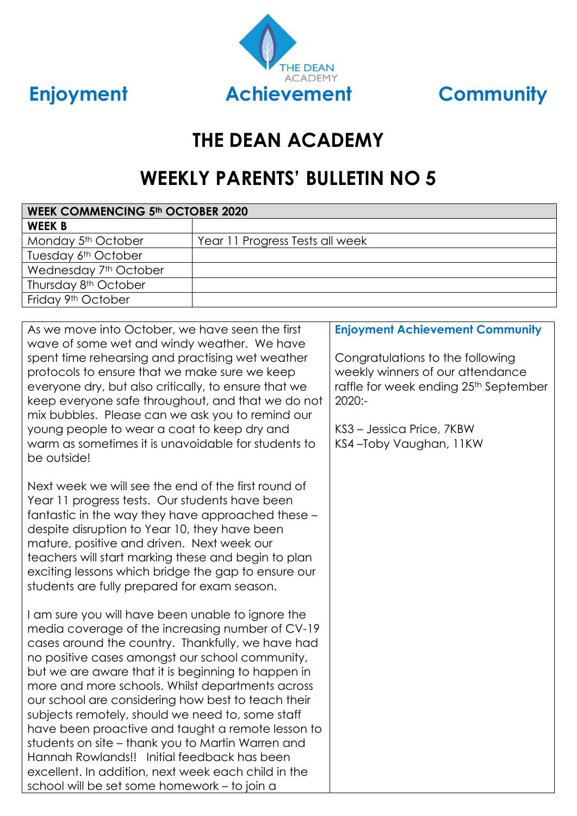



# **THE DEAN ACADEMY**

# **WEEKLY PARENTS' BULLETIN NO 5**

| <b>WEEK COMMENCING 5th OCTOBER 2020</b> |  |  |
|-----------------------------------------|--|--|
|                                         |  |  |
| Year 11 Progress Tests all week         |  |  |
|                                         |  |  |
|                                         |  |  |
|                                         |  |  |
|                                         |  |  |
|                                         |  |  |

| As we move into October, we have seen the first<br>wave of some wet and windy weather. We have                                                                                                                                                                                                                                                                                                                                                                                                                                                                                                                                                                                                    | <b>Enjoyment Achievement Community</b>                                                                                                                                                        |
|---------------------------------------------------------------------------------------------------------------------------------------------------------------------------------------------------------------------------------------------------------------------------------------------------------------------------------------------------------------------------------------------------------------------------------------------------------------------------------------------------------------------------------------------------------------------------------------------------------------------------------------------------------------------------------------------------|-----------------------------------------------------------------------------------------------------------------------------------------------------------------------------------------------|
| spent time rehearsing and practising wet weather<br>protocols to ensure that we make sure we keep<br>everyone dry, but also critically, to ensure that we<br>keep everyone safe throughout, and that we do not<br>mix bubbles. Please can we ask you to remind our<br>young people to wear a coat to keep dry and<br>warm as sometimes it is unavoidable for students to<br>be outside!                                                                                                                                                                                                                                                                                                           | Congratulations to the following<br>weekly winners of our attendance<br>raffle for week ending 25 <sup>th</sup> September<br>$2020: -$<br>KS3 – Jessica Price, 7KBW<br>KS4-Toby Vaughan, 11KW |
| Next week we will see the end of the first round of<br>Year 11 progress tests. Our students have been<br>fantastic in the way they have approached these -<br>despite disruption to Year 10, they have been<br>mature, positive and driven. Next week our<br>teachers will start marking these and begin to plan<br>exciting lessons which bridge the gap to ensure our<br>students are fully prepared for exam season.                                                                                                                                                                                                                                                                           |                                                                                                                                                                                               |
| I am sure you will have been unable to ignore the<br>media coverage of the increasing number of CV-19<br>cases around the country. Thankfully, we have had<br>no positive cases amongst our school community,<br>but we are aware that it is beginning to happen in<br>more and more schools. Whilst departments across<br>our school are considering how best to teach their<br>subjects remotely, should we need to, some staff<br>have been proactive and taught a remote lesson to<br>students on site - thank you to Martin Warren and<br>Hannah Rowlands!! Initial feedback has been<br>excellent. In addition, next week each child in the<br>school will be set some homework - to join a |                                                                                                                                                                                               |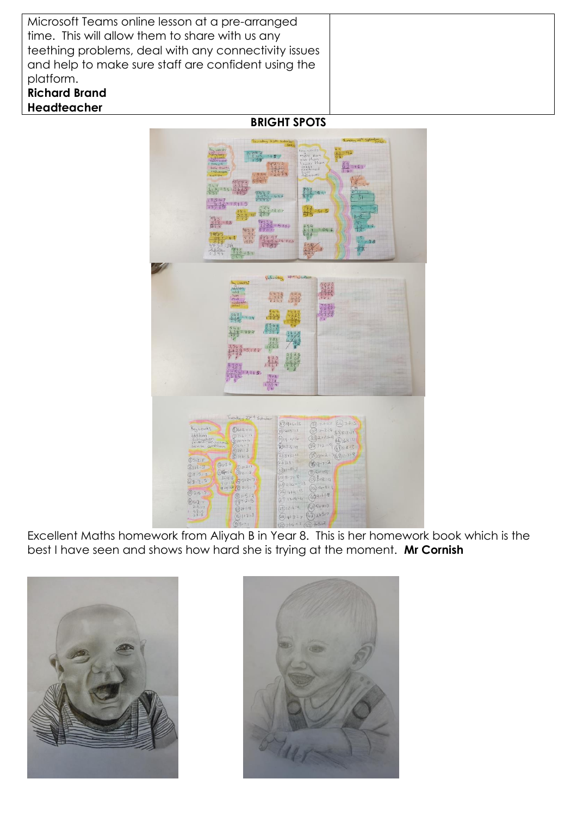| Microsoft Teams online lesson at a pre-arranged      |  |
|------------------------------------------------------|--|
| time. This will allow them to share with us any      |  |
| teething problems, deal with any connectivity issues |  |
| and help to make sure staff are confident using the  |  |
| platform.                                            |  |
| <b>Richard Brand</b>                                 |  |
| Headteacher                                          |  |

**BRIGHT SPOTS**



Excellent Maths homework from Aliyah B in Year 8. This is her homework book which is the best I have seen and shows how hard she is trying at the moment. **Mr Cornish**